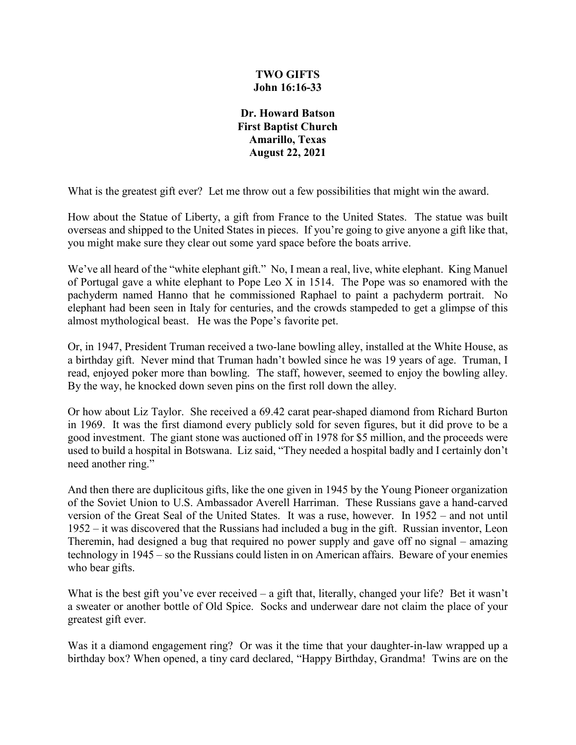## **TWO GIFTS John 16:16-33**

**Dr. Howard Batson First Baptist Church Amarillo, Texas August 22, 2021**

What is the greatest gift ever? Let me throw out a few possibilities that might win the award.

How about the Statue of Liberty, a gift from France to the United States. The statue was built overseas and shipped to the United States in pieces. If you're going to give anyone a gift like that, you might make sure they clear out some yard space before the boats arrive.

We've all heard of the "white elephant gift." No, I mean a real, live, white elephant. King Manuel of Portugal gave a white elephant to Pope Leo X in 1514. The Pope was so enamored with the pachyderm named Hanno that he commissioned Raphael to paint a pachyderm portrait. No elephant had been seen in Italy for centuries, and the crowds stampeded to get a glimpse of this almost mythological beast. He was the Pope's favorite pet.

Or, in 1947, President Truman received a two-lane bowling alley, installed at the White House, as a birthday gift. Never mind that Truman hadn't bowled since he was 19 years of age. Truman, I read, enjoyed poker more than bowling. The staff, however, seemed to enjoy the bowling alley. By the way, he knocked down seven pins on the first roll down the alley.

Or how about Liz Taylor. She received a 69.42 carat pear-shaped diamond from Richard Burton in 1969. It was the first diamond every publicly sold for seven figures, but it did prove to be a good investment. The giant stone was auctioned off in 1978 for \$5 million, and the proceeds were used to build a hospital in Botswana. Liz said, "They needed a hospital badly and I certainly don't need another ring."

And then there are duplicitous gifts, like the one given in 1945 by the Young Pioneer organization of the Soviet Union to U.S. Ambassador Averell Harriman. These Russians gave a hand-carved version of the Great Seal of the United States. It was a ruse, however. In 1952 – and not until 1952 – it was discovered that the Russians had included a bug in the gift. Russian inventor, Leon Theremin, had designed a bug that required no power supply and gave off no signal – amazing technology in 1945 – so the Russians could listen in on American affairs. Beware of your enemies who bear gifts.

What is the best gift you've ever received – a gift that, literally, changed your life? Bet it wasn't a sweater or another bottle of Old Spice. Socks and underwear dare not claim the place of your greatest gift ever.

Was it a diamond engagement ring? Or was it the time that your daughter-in-law wrapped up a birthday box? When opened, a tiny card declared, "Happy Birthday, Grandma! Twins are on the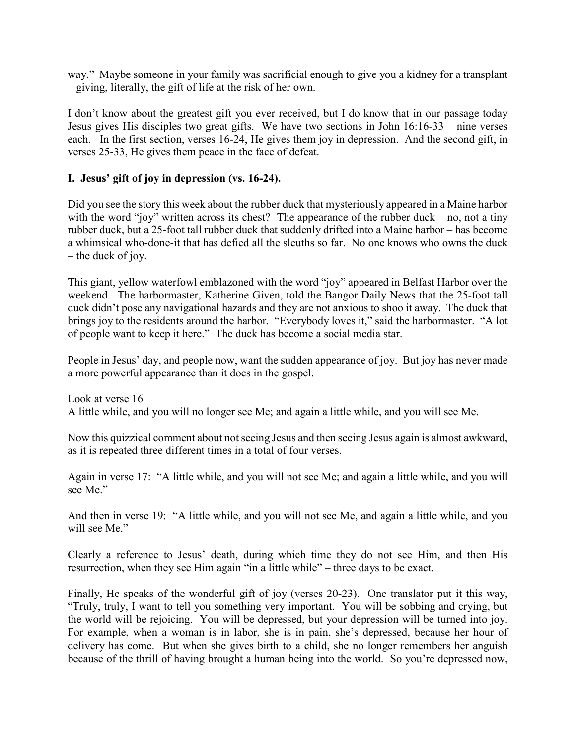way." Maybe someone in your family was sacrificial enough to give you a kidney for a transplant – giving, literally, the gift of life at the risk of her own.

I don't know about the greatest gift you ever received, but I do know that in our passage today Jesus gives His disciples two great gifts. We have two sections in John 16:16-33 – nine verses each. In the first section, verses 16-24, He gives them joy in depression. And the second gift, in verses 25-33, He gives them peace in the face of defeat.

## **I. Jesus' gift of joy in depression (vs. 16-24).**

Did you see the story this week about the rubber duck that mysteriously appeared in a Maine harbor with the word "joy" written across its chest? The appearance of the rubber duck – no, not a tiny rubber duck, but a 25-foot tall rubber duck that suddenly drifted into a Maine harbor – has become a whimsical who-done-it that has defied all the sleuths so far. No one knows who owns the duck – the duck of joy.

This giant, yellow waterfowl emblazoned with the word "joy" appeared in Belfast Harbor over the weekend. The harbormaster, Katherine Given, told the Bangor Daily News that the 25-foot tall duck didn't pose any navigational hazards and they are not anxious to shoo it away. The duck that brings joy to the residents around the harbor. "Everybody loves it," said the harbormaster. "A lot of people want to keep it here." The duck has become a social media star.

People in Jesus' day, and people now, want the sudden appearance of joy. But joy has never made a more powerful appearance than it does in the gospel.

Look at verse 16 A little while, and you will no longer see Me; and again a little while, and you will see Me.

Now this quizzical comment about not seeing Jesus and then seeing Jesus again is almost awkward, as it is repeated three different times in a total of four verses.

Again in verse 17: "A little while, and you will not see Me; and again a little while, and you will see Me."

And then in verse 19: "A little while, and you will not see Me, and again a little while, and you will see Me."

Clearly a reference to Jesus' death, during which time they do not see Him, and then His resurrection, when they see Him again "in a little while" – three days to be exact.

Finally, He speaks of the wonderful gift of joy (verses 20-23). One translator put it this way, "Truly, truly, I want to tell you something very important. You will be sobbing and crying, but the world will be rejoicing. You will be depressed, but your depression will be turned into joy. For example, when a woman is in labor, she is in pain, she's depressed, because her hour of delivery has come. But when she gives birth to a child, she no longer remembers her anguish because of the thrill of having brought a human being into the world. So you're depressed now,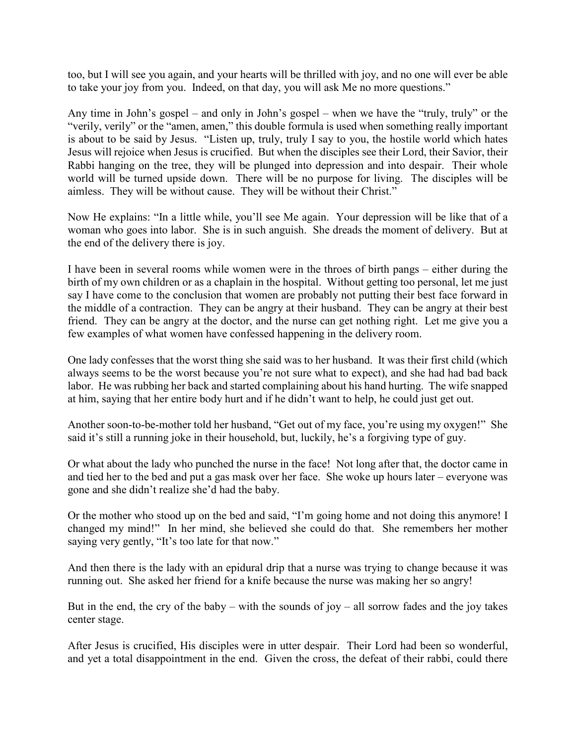too, but I will see you again, and your hearts will be thrilled with joy, and no one will ever be able to take your joy from you. Indeed, on that day, you will ask Me no more questions."

Any time in John's gospel – and only in John's gospel – when we have the "truly, truly" or the "verily, verily" or the "amen, amen," this double formula is used when something really important is about to be said by Jesus. "Listen up, truly, truly I say to you, the hostile world which hates Jesus will rejoice when Jesus is crucified. But when the disciples see their Lord, their Savior, their Rabbi hanging on the tree, they will be plunged into depression and into despair. Their whole world will be turned upside down. There will be no purpose for living. The disciples will be aimless. They will be without cause. They will be without their Christ."

Now He explains: "In a little while, you'll see Me again. Your depression will be like that of a woman who goes into labor. She is in such anguish. She dreads the moment of delivery. But at the end of the delivery there is joy.

I have been in several rooms while women were in the throes of birth pangs – either during the birth of my own children or as a chaplain in the hospital. Without getting too personal, let me just say I have come to the conclusion that women are probably not putting their best face forward in the middle of a contraction. They can be angry at their husband. They can be angry at their best friend. They can be angry at the doctor, and the nurse can get nothing right. Let me give you a few examples of what women have confessed happening in the delivery room.

One lady confesses that the worst thing she said was to her husband. It was their first child (which always seems to be the worst because you're not sure what to expect), and she had had bad back labor. He was rubbing her back and started complaining about his hand hurting. The wife snapped at him, saying that her entire body hurt and if he didn't want to help, he could just get out.

Another soon-to-be-mother told her husband, "Get out of my face, you're using my oxygen!" She said it's still a running joke in their household, but, luckily, he's a forgiving type of guy.

Or what about the lady who punched the nurse in the face! Not long after that, the doctor came in and tied her to the bed and put a gas mask over her face. She woke up hours later – everyone was gone and she didn't realize she'd had the baby.

Or the mother who stood up on the bed and said, "I'm going home and not doing this anymore! I changed my mind!" In her mind, she believed she could do that. She remembers her mother saying very gently, "It's too late for that now."

And then there is the lady with an epidural drip that a nurse was trying to change because it was running out. She asked her friend for a knife because the nurse was making her so angry!

But in the end, the cry of the baby – with the sounds of joy – all sorrow fades and the joy takes center stage.

After Jesus is crucified, His disciples were in utter despair. Their Lord had been so wonderful, and yet a total disappointment in the end. Given the cross, the defeat of their rabbi, could there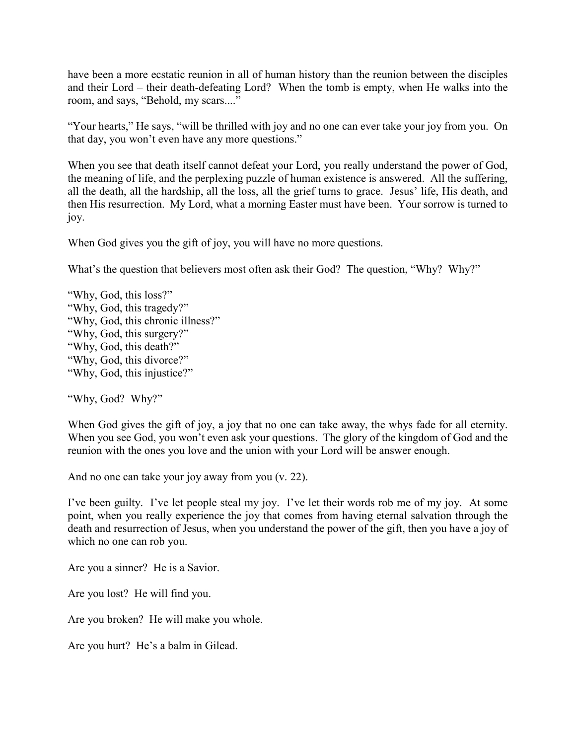have been a more ecstatic reunion in all of human history than the reunion between the disciples and their Lord – their death-defeating Lord? When the tomb is empty, when He walks into the room, and says, "Behold, my scars...."

"Your hearts," He says, "will be thrilled with joy and no one can ever take your joy from you. On that day, you won't even have any more questions."

When you see that death itself cannot defeat your Lord, you really understand the power of God, the meaning of life, and the perplexing puzzle of human existence is answered. All the suffering, all the death, all the hardship, all the loss, all the grief turns to grace. Jesus' life, His death, and then His resurrection. My Lord, what a morning Easter must have been. Your sorrow is turned to joy.

When God gives you the gift of joy, you will have no more questions.

What's the question that believers most often ask their God? The question, "Why? Why?"

"Why, God, this loss?" "Why, God, this tragedy?" "Why, God, this chronic illness?" "Why, God, this surgery?" "Why, God, this death?" "Why, God, this divorce?" "Why, God, this injustice?"

"Why, God? Why?"

When God gives the gift of joy, a joy that no one can take away, the whys fade for all eternity. When you see God, you won't even ask your questions. The glory of the kingdom of God and the reunion with the ones you love and the union with your Lord will be answer enough.

And no one can take your joy away from you (v. 22).

I've been guilty. I've let people steal my joy. I've let their words rob me of my joy. At some point, when you really experience the joy that comes from having eternal salvation through the death and resurrection of Jesus, when you understand the power of the gift, then you have a joy of which no one can rob you.

Are you a sinner? He is a Savior.

Are you lost? He will find you.

Are you broken? He will make you whole.

Are you hurt? He's a balm in Gilead.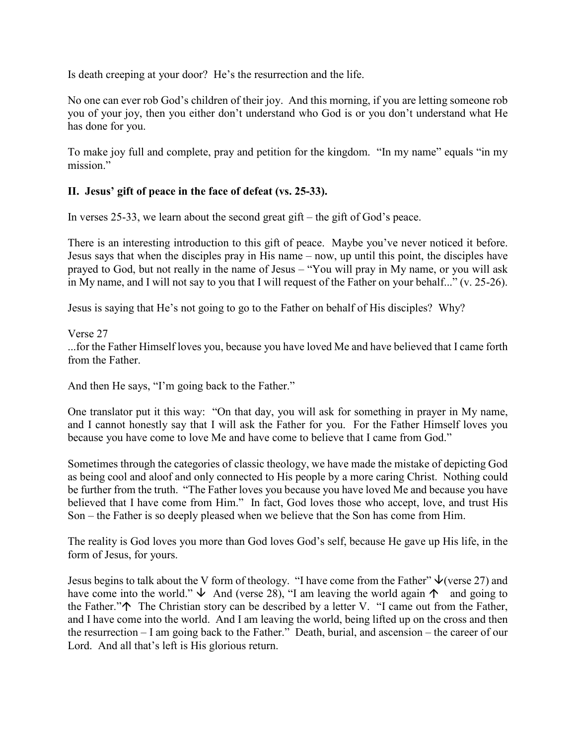Is death creeping at your door? He's the resurrection and the life.

No one can ever rob God's children of their joy. And this morning, if you are letting someone rob you of your joy, then you either don't understand who God is or you don't understand what He has done for you.

To make joy full and complete, pray and petition for the kingdom. "In my name" equals "in my mission."

## **II. Jesus' gift of peace in the face of defeat (vs. 25-33).**

In verses 25-33, we learn about the second great gift – the gift of God's peace.

There is an interesting introduction to this gift of peace. Maybe you've never noticed it before. Jesus says that when the disciples pray in His name – now, up until this point, the disciples have prayed to God, but not really in the name of Jesus – "You will pray in My name, or you will ask in My name, and I will not say to you that I will request of the Father on your behalf..." (v. 25-26).

Jesus is saying that He's not going to go to the Father on behalf of His disciples? Why?

## Verse 27

...for the Father Himself loves you, because you have loved Me and have believed that I came forth from the Father.

And then He says, "I'm going back to the Father."

One translator put it this way: "On that day, you will ask for something in prayer in My name, and I cannot honestly say that I will ask the Father for you. For the Father Himself loves you because you have come to love Me and have come to believe that I came from God."

Sometimes through the categories of classic theology, we have made the mistake of depicting God as being cool and aloof and only connected to His people by a more caring Christ. Nothing could be further from the truth. "The Father loves you because you have loved Me and because you have believed that I have come from Him." In fact, God loves those who accept, love, and trust His Son – the Father is so deeply pleased when we believe that the Son has come from Him.

The reality is God loves you more than God loves God's self, because He gave up His life, in the form of Jesus, for yours.

Jesus begins to talk about the V form of theology. "I have come from the Father"  $\psi$  (verse 27) and have come into the world."  $\downarrow$  And (verse 28), "I am leaving the world again  $\uparrow$  and going to the Father." $\uparrow$  The Christian story can be described by a letter V. "I came out from the Father, and I have come into the world. And I am leaving the world, being lifted up on the cross and then the resurrection – I am going back to the Father." Death, burial, and ascension – the career of our Lord. And all that's left is His glorious return.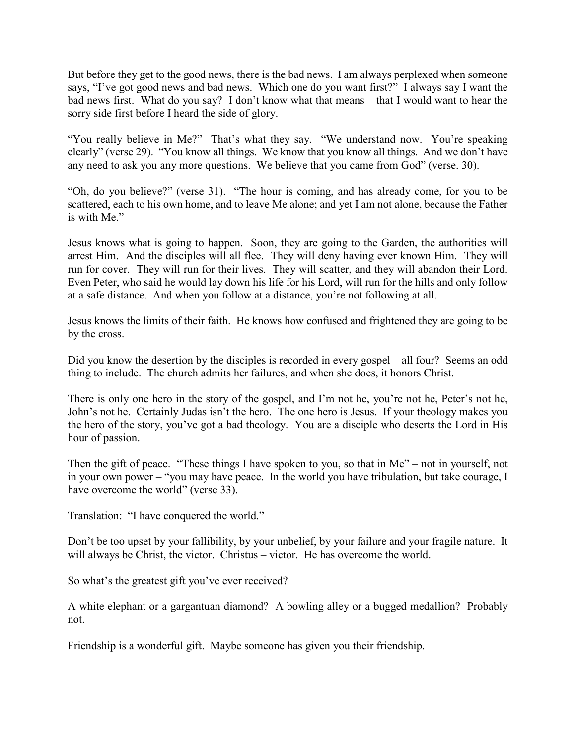But before they get to the good news, there is the bad news. I am always perplexed when someone says, "I've got good news and bad news. Which one do you want first?" I always say I want the bad news first. What do you say? I don't know what that means – that I would want to hear the sorry side first before I heard the side of glory.

"You really believe in Me?" That's what they say. "We understand now. You're speaking clearly" (verse 29). "You know all things. We know that you know all things. And we don't have any need to ask you any more questions. We believe that you came from God" (verse. 30).

"Oh, do you believe?" (verse 31). "The hour is coming, and has already come, for you to be scattered, each to his own home, and to leave Me alone; and yet I am not alone, because the Father is with Me."

Jesus knows what is going to happen. Soon, they are going to the Garden, the authorities will arrest Him. And the disciples will all flee. They will deny having ever known Him. They will run for cover. They will run for their lives. They will scatter, and they will abandon their Lord. Even Peter, who said he would lay down his life for his Lord, will run for the hills and only follow at a safe distance. And when you follow at a distance, you're not following at all.

Jesus knows the limits of their faith. He knows how confused and frightened they are going to be by the cross.

Did you know the desertion by the disciples is recorded in every gospel – all four? Seems an odd thing to include. The church admits her failures, and when she does, it honors Christ.

There is only one hero in the story of the gospel, and I'm not he, you're not he, Peter's not he, John's not he. Certainly Judas isn't the hero. The one hero is Jesus. If your theology makes you the hero of the story, you've got a bad theology. You are a disciple who deserts the Lord in His hour of passion.

Then the gift of peace. "These things I have spoken to you, so that in Me" – not in yourself, not in your own power – "you may have peace. In the world you have tribulation, but take courage, I have overcome the world" (verse 33).

Translation: "I have conquered the world."

Don't be too upset by your fallibility, by your unbelief, by your failure and your fragile nature. It will always be Christ, the victor. Christus – victor. He has overcome the world.

So what's the greatest gift you've ever received?

A white elephant or a gargantuan diamond? A bowling alley or a bugged medallion? Probably not.

Friendship is a wonderful gift. Maybe someone has given you their friendship.